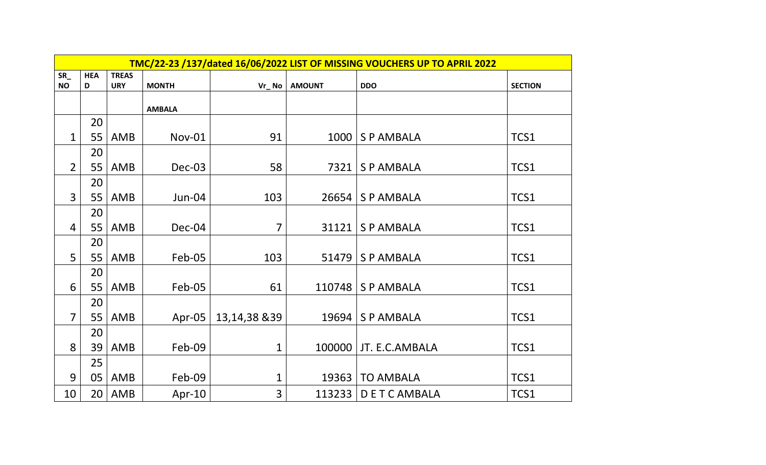|                | TMC/22-23 /137/dated 16/06/2022 LIST OF MISSING VOUCHERS UP TO APRIL 2022 |              |               |               |               |                         |                |  |  |  |
|----------------|---------------------------------------------------------------------------|--------------|---------------|---------------|---------------|-------------------------|----------------|--|--|--|
| $SR_$          | <b>HEA</b>                                                                | <b>TREAS</b> |               |               |               |                         |                |  |  |  |
| <b>NO</b>      | D                                                                         | <b>URY</b>   | <b>MONTH</b>  | $Vr_N$ No     | <b>AMOUNT</b> | <b>DDO</b>              | <b>SECTION</b> |  |  |  |
|                |                                                                           |              | <b>AMBALA</b> |               |               |                         |                |  |  |  |
|                | 20                                                                        |              |               |               |               |                         |                |  |  |  |
| $\mathbf{1}$   | 55                                                                        | AMB          | Nov-01        | 91            |               | 1000   S P AMBALA       | TCS1           |  |  |  |
|                | 20                                                                        |              |               |               |               |                         |                |  |  |  |
| $\overline{2}$ | 55                                                                        | AMB          | Dec-03        | 58            | 7321          | S P AMBALA              | TCS1           |  |  |  |
|                | 20                                                                        |              |               |               |               |                         |                |  |  |  |
| $\overline{3}$ | 55                                                                        | AMB          | Jun-04        | 103           |               | 26654   S P AMBALA      | TCS1           |  |  |  |
|                | 20                                                                        |              |               |               |               |                         |                |  |  |  |
| 4              | 55                                                                        | AMB          | Dec-04        | 7             |               | $31121$ S P AMBALA      | TCS1           |  |  |  |
|                | 20                                                                        |              |               |               |               |                         |                |  |  |  |
| 5              | 55                                                                        | AMB          | Feb-05        | 103           |               | $51479$ S P AMBALA      | TCS1           |  |  |  |
|                | 20                                                                        |              |               |               |               |                         |                |  |  |  |
| 6              | 55                                                                        | AMB          | Feb-05        | 61            |               | 110748   S P AMBALA     | TCS1           |  |  |  |
|                | 20                                                                        |              |               |               |               |                         |                |  |  |  |
| $\overline{7}$ | 55                                                                        | AMB          | Apr-05        | 13,14,38 & 39 |               | 19694   S P AMBALA      | TCS1           |  |  |  |
|                | 20                                                                        |              |               |               |               |                         |                |  |  |  |
| 8              | 39                                                                        | AMB          | Feb-09        | $\mathbf 1$   |               | 100000   JT. E.C.AMBALA | TCS1           |  |  |  |
|                | 25                                                                        |              |               |               |               |                         |                |  |  |  |
| 9              | 05                                                                        | AMB          | Feb-09        | $\mathbf{1}$  |               | 19363   TO AMBALA       | TCS1           |  |  |  |
| 10             |                                                                           | $20$   AMB   | Apr- $10$     | 3             |               | 113233   D E T C AMBALA | TCS1           |  |  |  |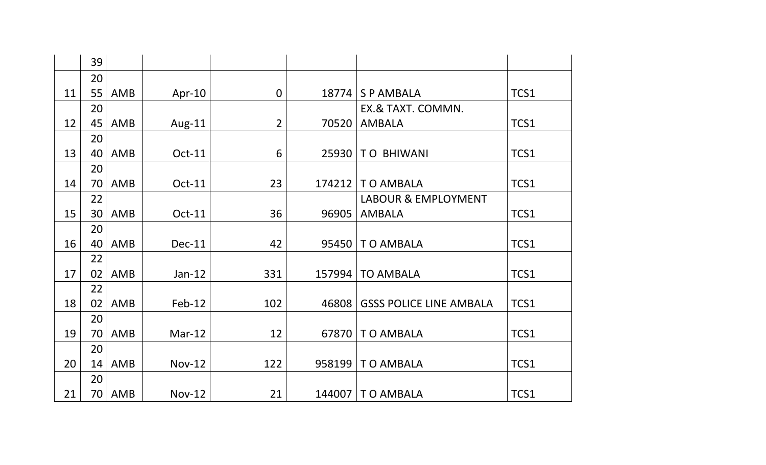|    | 39 |     |               |                |        |                                |      |
|----|----|-----|---------------|----------------|--------|--------------------------------|------|
|    | 20 |     |               |                |        |                                |      |
| 11 | 55 | AMB | Apr-10        | $\mathbf 0$    | 18774  | <b>SPAMBALA</b>                | TCS1 |
|    | 20 |     |               |                |        | EX.& TAXT. COMMN.              |      |
| 12 | 45 | AMB | Aug-11        | $\overline{2}$ | 70520  | <b>AMBALA</b>                  | TCS1 |
|    | 20 |     |               |                |        |                                |      |
| 13 | 40 | AMB | Oct-11        | 6              | 25930  | <b>TO BHIWANI</b>              | TCS1 |
|    | 20 |     |               |                |        |                                |      |
| 14 | 70 | AMB | Oct-11        | 23             | 174212 | TO AMBALA                      | TCS1 |
|    | 22 |     |               |                |        | <b>LABOUR &amp; EMPLOYMENT</b> |      |
| 15 | 30 | AMB | Oct-11        | 36             | 96905  | <b>AMBALA</b>                  | TCS1 |
|    | 20 |     |               |                |        |                                |      |
| 16 | 40 | AMB | Dec-11        | 42             | 95450  | TO AMBALA                      | TCS1 |
|    | 22 |     |               |                |        |                                |      |
| 17 | 02 | AMB | $Jan-12$      | 331            | 157994 | <b>TO AMBALA</b>               | TCS1 |
|    | 22 |     |               |                |        |                                |      |
| 18 | 02 | AMB | $Feb-12$      | 102            | 46808  | <b>GSSS POLICE LINE AMBALA</b> | TCS1 |
|    | 20 |     |               |                |        |                                |      |
| 19 | 70 | AMB | $Mar-12$      | 12             | 67870  | TO AMBALA                      | TCS1 |
|    | 20 |     |               |                |        |                                |      |
| 20 | 14 | AMB | <b>Nov-12</b> | 122            | 958199 | TO AMBALA                      | TCS1 |
|    | 20 |     |               |                |        |                                |      |
| 21 | 70 | AMB | <b>Nov-12</b> | 21             | 144007 | TO AMBALA                      | TCS1 |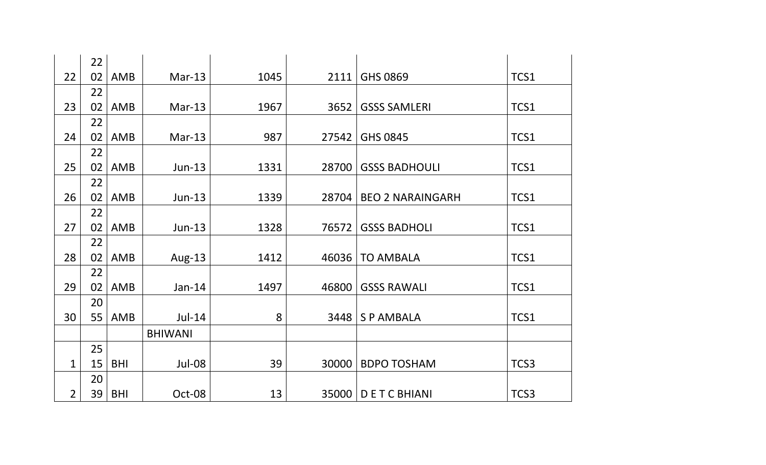|                | 22 |            |                |      |       |                         |      |
|----------------|----|------------|----------------|------|-------|-------------------------|------|
| 22             | 02 | <b>AMB</b> | $Mar-13$       | 1045 | 2111  | GHS 0869                | TCS1 |
|                | 22 |            |                |      |       |                         |      |
| 23             | 02 | <b>AMB</b> | $Mar-13$       | 1967 | 3652  | <b>GSSS SAMLERI</b>     | TCS1 |
|                | 22 |            |                |      |       |                         |      |
| 24             | 02 | <b>AMB</b> | $Mar-13$       | 987  | 27542 | GHS 0845                | TCS1 |
|                | 22 |            |                |      |       |                         |      |
| 25             | 02 | <b>AMB</b> | $Jun-13$       | 1331 | 28700 | <b>GSSS BADHOULI</b>    | TCS1 |
|                | 22 |            |                |      |       |                         |      |
| 26             | 02 | <b>AMB</b> | $Jun-13$       | 1339 | 28704 | <b>BEO 2 NARAINGARH</b> | TCS1 |
|                | 22 |            |                |      |       |                         |      |
| 27             | 02 | <b>AMB</b> | Jun-13         | 1328 | 76572 | <b>GSSS BADHOLI</b>     | TCS1 |
|                | 22 |            |                |      |       |                         |      |
| 28             | 02 | <b>AMB</b> | Aug-13         | 1412 | 46036 | <b>TO AMBALA</b>        | TCS1 |
|                | 22 |            |                |      |       |                         |      |
| 29             | 02 | AMB        | $Jan-14$       | 1497 | 46800 | <b>GSSS RAWALI</b>      | TCS1 |
|                | 20 |            |                |      |       |                         |      |
| 30             | 55 | AMB        | $Jul-14$       | 8    | 3448  | <b>SPAMBALA</b>         | TCS1 |
|                |    |            | <b>BHIWANI</b> |      |       |                         |      |
|                | 25 |            |                |      |       |                         |      |
| $\mathbf{1}$   | 15 | <b>BHI</b> | Jul-08         | 39   | 30000 | <b>BDPO TOSHAM</b>      | TCS3 |
|                | 20 |            |                |      |       |                         |      |
| $\overline{2}$ | 39 | <b>BHI</b> | Oct-08         | 13   | 35000 | <b>DETCBHIANI</b>       | TCS3 |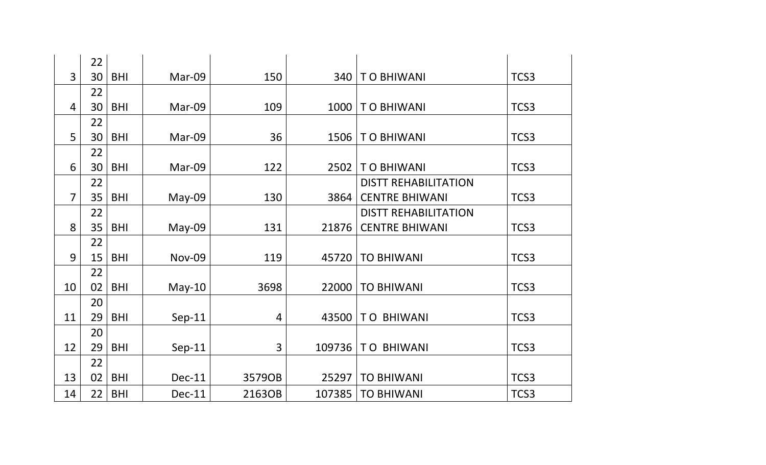|                | 22 |            |               |        |        |                             |      |
|----------------|----|------------|---------------|--------|--------|-----------------------------|------|
| $\overline{3}$ | 30 | <b>BHI</b> | Mar-09        | 150    | 340    | TO BHIWANI                  | TCS3 |
|                | 22 |            |               |        |        |                             |      |
| $\overline{4}$ | 30 | <b>BHI</b> | Mar-09        | 109    | 1000   | <b>TO BHIWANI</b>           | TCS3 |
|                | 22 |            |               |        |        |                             |      |
| 5              | 30 | <b>BHI</b> | Mar-09        | 36     | 1506   | TO BHIWANI                  | TCS3 |
|                | 22 |            |               |        |        |                             |      |
| 6              | 30 | <b>BHI</b> | Mar-09        | 122    | 2502   | <b>TO BHIWANI</b>           | TCS3 |
|                | 22 |            |               |        |        | <b>DISTT REHABILITATION</b> |      |
| $\overline{7}$ | 35 | <b>BHI</b> | May-09        | 130    | 3864   | <b>CENTRE BHIWANI</b>       | TCS3 |
|                | 22 |            |               |        |        | <b>DISTT REHABILITATION</b> |      |
| 8              | 35 | <b>BHI</b> | May-09        | 131    | 21876  | <b>CENTRE BHIWANI</b>       | TCS3 |
|                | 22 |            |               |        |        |                             |      |
| 9              | 15 | <b>BHI</b> | <b>Nov-09</b> | 119    | 45720  | <b>TO BHIWANI</b>           | TCS3 |
|                | 22 |            |               |        |        |                             |      |
| 10             | 02 | <b>BHI</b> | $May-10$      | 3698   | 22000  | <b>TO BHIWANI</b>           | TCS3 |
|                | 20 |            |               |        |        |                             |      |
| 11             | 29 | <b>BHI</b> | $Sep-11$      | 4      | 43500  | <b>TO BHIWANI</b>           | TCS3 |
|                | 20 |            |               |        |        |                             |      |
| 12             | 29 | <b>BHI</b> | $Sep-11$      | 3      | 109736 | <b>TO BHIWANI</b>           | TCS3 |
|                | 22 |            |               |        |        |                             |      |
| 13             | 02 | <b>BHI</b> | Dec-11        | 3579OB | 25297  | <b>TO BHIWANI</b>           | TCS3 |
| 14             | 22 | <b>BHI</b> | <b>Dec-11</b> | 2163OB | 107385 | <b>TO BHIWANI</b>           | TCS3 |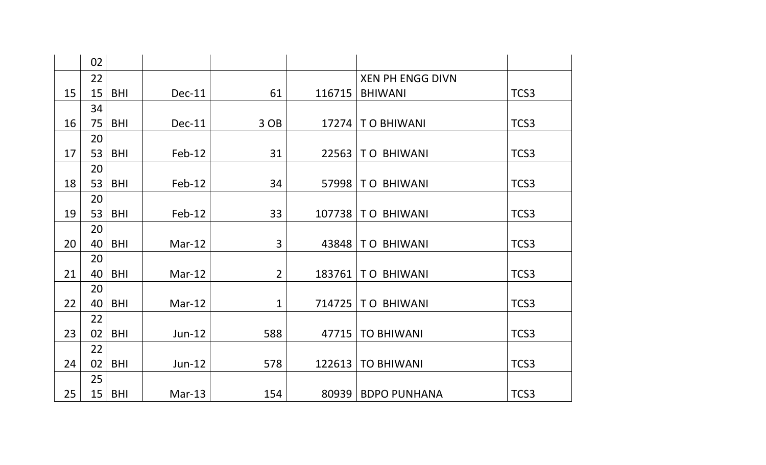|    | 02       |            |               |                |        |                         |      |
|----|----------|------------|---------------|----------------|--------|-------------------------|------|
|    | 22       |            |               |                |        | <b>XEN PH ENGG DIVN</b> |      |
| 15 | 15       | <b>BHI</b> | <b>Dec-11</b> | 61             | 116715 | <b>BHIWANI</b>          | TCS3 |
|    | 34       |            |               |                |        |                         |      |
| 16 | 75       | <b>BHI</b> | <b>Dec-11</b> | 3 OB           | 17274  | TO BHIWANI              | TCS3 |
|    | 20       |            |               |                |        |                         |      |
| 17 | 53       | <b>BHI</b> | Feb-12        | 31             | 22563  | <b>TO BHIWANI</b>       | TCS3 |
|    | 20       |            |               |                |        |                         |      |
| 18 | 53       | <b>BHI</b> | Feb-12        | 34             | 57998  | <b>TO BHIWANI</b>       | TCS3 |
|    | 20       |            |               |                |        |                         |      |
| 19 | 53       | <b>BHI</b> | Feb-12        | 33             | 107738 | <b>TO BHIWANI</b>       | TCS3 |
|    | 20       |            |               |                |        |                         |      |
| 20 | 40       | <b>BHI</b> | $Mar-12$      | 3              | 43848  | <b>TO BHIWANI</b>       | TCS3 |
|    | 20       |            |               |                |        |                         |      |
| 21 | 40<br>20 | <b>BHI</b> | $Mar-12$      | $\overline{2}$ | 183761 | <b>TO BHIWANI</b>       | TCS3 |
| 22 | 40       | <b>BHI</b> | $Mar-12$      | $\mathbf 1$    | 714725 | <b>TO BHIWANI</b>       | TCS3 |
|    | 22       |            |               |                |        |                         |      |
| 23 | 02       | <b>BHI</b> | Jun-12        | 588            | 47715  | <b>TO BHIWANI</b>       | TCS3 |
|    | 22       |            |               |                |        |                         |      |
| 24 | 02       | <b>BHI</b> | Jun-12        | 578            | 122613 | <b>TO BHIWANI</b>       | TCS3 |
|    | 25       |            |               |                |        |                         |      |
| 25 | 15       | <b>BHI</b> | $Mar-13$      | 154            | 80939  | <b>BDPO PUNHANA</b>     | TCS3 |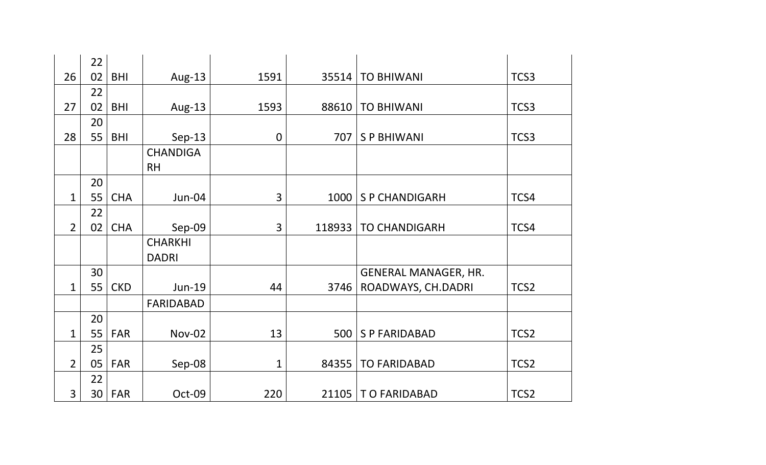|                | 22              |            |                  |             |        |                             |                  |
|----------------|-----------------|------------|------------------|-------------|--------|-----------------------------|------------------|
| 26             | 02              | <b>BHI</b> | Aug-13           | 1591        | 35514  | <b>TO BHIWANI</b>           | TCS3             |
|                | 22              |            |                  |             |        |                             |                  |
| 27             | 02              | <b>BHI</b> | Aug-13           | 1593        | 88610  | <b>TO BHIWANI</b>           | TCS3             |
|                | 20              |            |                  |             |        |                             |                  |
| 28             | 55              | <b>BHI</b> | $Sep-13$         | $\mathbf 0$ | 707    | <b>SP BHIWANI</b>           | TCS3             |
|                |                 |            | <b>CHANDIGA</b>  |             |        |                             |                  |
|                |                 |            | <b>RH</b>        |             |        |                             |                  |
|                | 20              |            |                  |             |        |                             |                  |
| $\mathbf{1}$   | 55              | <b>CHA</b> | Jun-04           | 3           | 1000   | <b>SP CHANDIGARH</b>        | TCS4             |
|                | 22              |            |                  |             |        |                             |                  |
| $\overline{2}$ | 02              | <b>CHA</b> | Sep-09           | 3           | 118933 | <b>TO CHANDIGARH</b>        | TCS4             |
|                |                 |            | <b>CHARKHI</b>   |             |        |                             |                  |
|                |                 |            | <b>DADRI</b>     |             |        |                             |                  |
|                | 30              |            |                  |             |        | <b>GENERAL MANAGER, HR.</b> |                  |
| $\mathbf 1$    | 55              | <b>CKD</b> | Jun-19           | 44          | 3746   | ROADWAYS, CH.DADRI          | TCS <sub>2</sub> |
|                |                 |            | <b>FARIDABAD</b> |             |        |                             |                  |
|                | 20              |            |                  |             |        |                             |                  |
| $\mathbf 1$    | 55              | <b>FAR</b> | <b>Nov-02</b>    | 13          | 500    | <b>SP FARIDABAD</b>         | TCS <sub>2</sub> |
|                | 25              |            |                  |             |        |                             |                  |
| $\overline{2}$ | 05              | <b>FAR</b> | Sep-08           | 1           | 84355  | <b>TO FARIDABAD</b>         | TCS <sub>2</sub> |
|                | 22              |            |                  |             |        |                             |                  |
| 3              | 30 <sup>1</sup> | <b>FAR</b> | Oct-09           | 220         |        | 21105   T O FARIDABAD       | TCS2             |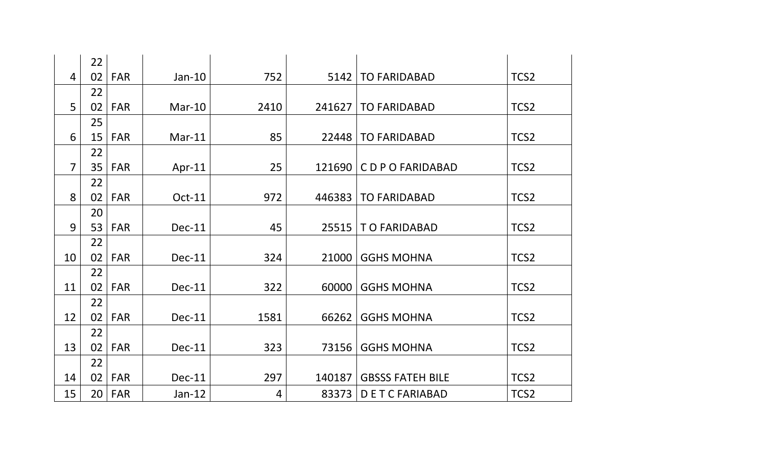|                | 22 |            |          |                |        |                         |                  |
|----------------|----|------------|----------|----------------|--------|-------------------------|------------------|
| $\overline{4}$ | 02 | <b>FAR</b> | $Jan-10$ | 752            | 5142   | <b>TO FARIDABAD</b>     | TCS <sub>2</sub> |
|                | 22 |            |          |                |        |                         |                  |
| 5              | 02 | <b>FAR</b> | Mar-10   | 2410           | 241627 | <b>TO FARIDABAD</b>     | TCS2             |
|                | 25 |            |          |                |        |                         |                  |
| 6              | 15 | <b>FAR</b> | $Mar-11$ | 85             | 22448  | <b>TO FARIDABAD</b>     | TCS <sub>2</sub> |
|                | 22 |            |          |                |        |                         |                  |
| $\overline{7}$ | 35 | <b>FAR</b> | Apr-11   | 25             | 121690 | <b>CDPOFARIDABAD</b>    | TCS <sub>2</sub> |
|                | 22 |            |          |                |        |                         |                  |
| 8              | 02 | <b>FAR</b> | Oct-11   | 972            | 446383 | <b>TO FARIDABAD</b>     | TCS <sub>2</sub> |
|                | 20 |            |          |                |        |                         |                  |
| 9              | 53 | <b>FAR</b> | Dec-11   | 45             | 25515  | TO FARIDABAD            | TCS <sub>2</sub> |
|                | 22 |            |          |                |        |                         |                  |
| 10             | 02 | <b>FAR</b> | Dec-11   | 324            | 21000  | <b>GGHS MOHNA</b>       | TCS <sub>2</sub> |
|                | 22 |            |          |                |        |                         |                  |
| 11             | 02 | <b>FAR</b> | Dec-11   | 322            | 60000  | <b>GGHS MOHNA</b>       | TCS <sub>2</sub> |
|                | 22 |            |          |                |        |                         |                  |
| 12             | 02 | <b>FAR</b> | Dec-11   | 1581           | 66262  | <b>GGHS MOHNA</b>       | TCS2             |
|                | 22 |            |          |                |        |                         |                  |
| 13             | 02 | <b>FAR</b> | Dec-11   | 323            | 73156  | <b>GGHS MOHNA</b>       | TCS <sub>2</sub> |
|                | 22 |            |          |                |        |                         |                  |
| 14             | 02 | <b>FAR</b> | Dec-11   | 297            | 140187 | <b>GBSSS FATEH BILE</b> | TCS <sub>2</sub> |
| 15             | 20 | <b>FAR</b> | $Jan-12$ | $\overline{4}$ | 83373  | <b>DETCFARIABAD</b>     | TCS <sub>2</sub> |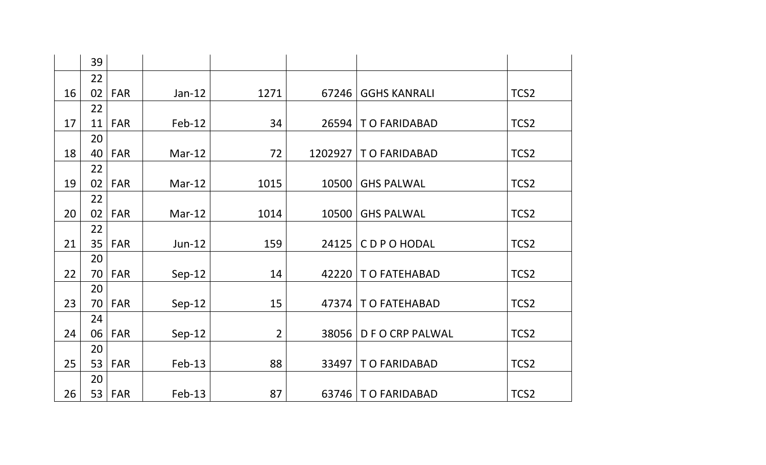|    | 39 |            |          |                |         |                       |                  |
|----|----|------------|----------|----------------|---------|-----------------------|------------------|
|    | 22 |            |          |                |         |                       |                  |
| 16 | 02 | <b>FAR</b> | $Jan-12$ | 1271           | 67246   | <b>GGHS KANRALI</b>   | TCS <sub>2</sub> |
|    | 22 |            |          |                |         |                       |                  |
| 17 | 11 | <b>FAR</b> | $Feb-12$ | 34             | 26594   | TO FARIDABAD          | TCS2             |
|    | 20 |            |          |                |         |                       |                  |
| 18 | 40 | <b>FAR</b> | $Mar-12$ | 72             | 1202927 | TO FARIDABAD          | TCS2             |
|    | 22 |            |          |                |         |                       |                  |
| 19 | 02 | <b>FAR</b> | $Mar-12$ | 1015           | 10500   | <b>GHS PALWAL</b>     | TCS <sub>2</sub> |
|    | 22 |            |          |                |         |                       |                  |
| 20 | 02 | <b>FAR</b> | $Mar-12$ | 1014           | 10500   | <b>GHS PALWAL</b>     | TCS2             |
|    | 22 |            |          |                |         |                       |                  |
| 21 | 35 | <b>FAR</b> | Jun-12   | 159            | 24125   | CDPOHODAL             | TCS2             |
|    | 20 |            |          |                |         |                       |                  |
| 22 | 70 | <b>FAR</b> | $Sep-12$ | 14             | 42220   | T O FATEHABAD         | TCS <sub>2</sub> |
|    | 20 |            |          |                |         |                       |                  |
| 23 | 70 | <b>FAR</b> | $Sep-12$ | 15             | 47374   | T O FATEHABAD         | TCS <sub>2</sub> |
|    | 24 |            |          |                |         |                       |                  |
| 24 | 06 | <b>FAR</b> | $Sep-12$ | $\overline{2}$ | 38056   | <b>DFOCRP PALWAL</b>  | TCS2             |
|    | 20 |            |          |                |         |                       |                  |
| 25 | 53 | <b>FAR</b> | $Feb-13$ | 88             | 33497   | TO FARIDABAD          | TCS2             |
|    | 20 |            |          |                |         |                       |                  |
| 26 | 53 | <b>FAR</b> | $Feb-13$ | 87             |         | 63746   T O FARIDABAD | TCS <sub>2</sub> |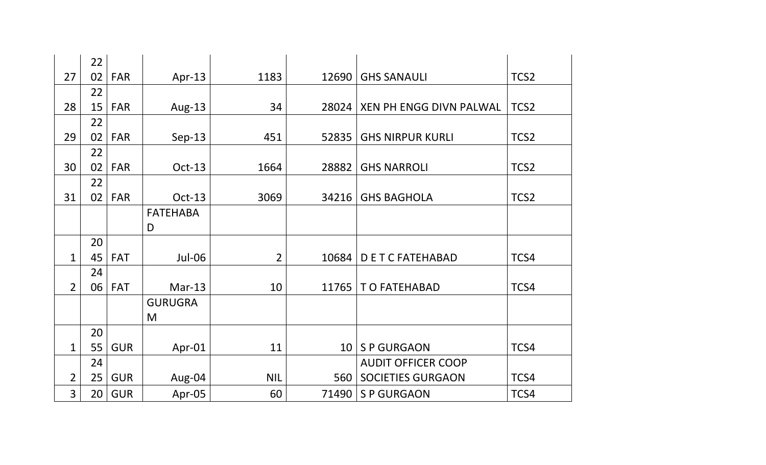|                | 22 |            |                 |                |                 |                           |                  |
|----------------|----|------------|-----------------|----------------|-----------------|---------------------------|------------------|
| 27             | 02 | <b>FAR</b> | Apr-13          | 1183           | 12690           | <b>GHS SANAULI</b>        | TCS <sub>2</sub> |
|                | 22 |            |                 |                |                 |                           |                  |
| 28             | 15 | <b>FAR</b> | Aug-13          | 34             | 28024           | XEN PH ENGG DIVN PALWAL   | TCS2             |
|                | 22 |            |                 |                |                 |                           |                  |
| 29             | 02 | <b>FAR</b> | $Sep-13$        | 451            | 52835           | <b>GHS NIRPUR KURLI</b>   | TCS2             |
|                | 22 |            |                 |                |                 |                           |                  |
| 30             | 02 | <b>FAR</b> | Oct-13          | 1664           | 28882           | <b>GHS NARROLI</b>        | TCS <sub>2</sub> |
|                | 22 |            |                 |                |                 |                           |                  |
| 31             | 02 | <b>FAR</b> | Oct-13          | 3069           | 34216           | <b>GHS BAGHOLA</b>        | TCS2             |
|                |    |            | <b>FATEHABA</b> |                |                 |                           |                  |
|                |    |            | D               |                |                 |                           |                  |
|                | 20 |            |                 |                |                 |                           |                  |
| $\mathbf{1}$   | 45 | <b>FAT</b> | Jul-06          | $\overline{2}$ | 10684           | <b>DETCFATEHABAD</b>      | TCS4             |
|                | 24 |            |                 |                |                 |                           |                  |
| $\overline{2}$ | 06 | <b>FAT</b> | $Mar-13$        | 10             | 11765           | T O FATEHABAD             | TCS4             |
|                |    |            | <b>GURUGRA</b>  |                |                 |                           |                  |
|                |    |            | M               |                |                 |                           |                  |
|                | 20 |            |                 |                |                 |                           |                  |
| $\mathbf 1$    | 55 | <b>GUR</b> | Apr-01          | 11             | 10 <sup>1</sup> | <b>SP GURGAON</b>         | TCS4             |
|                | 24 |            |                 |                |                 | <b>AUDIT OFFICER COOP</b> |                  |
| $\overline{2}$ | 25 | <b>GUR</b> | Aug-04          | <b>NIL</b>     | 560             | <b>SOCIETIES GURGAON</b>  | TCS4             |
| 3              | 20 | <b>GUR</b> | Apr-05          | 60             | 71490           | <b>SP GURGAON</b>         | TCS4             |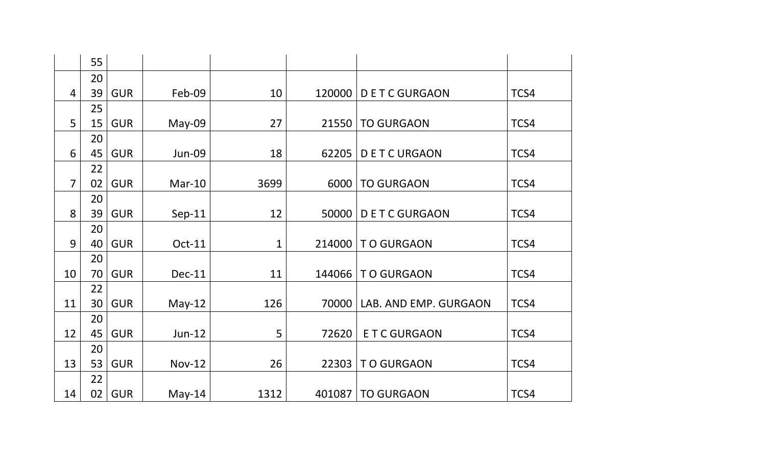|                | 55 |            |               |              |        |                       |      |
|----------------|----|------------|---------------|--------------|--------|-----------------------|------|
|                | 20 |            |               |              |        |                       |      |
| $\overline{4}$ | 39 | <b>GUR</b> | Feb-09        | 10           | 120000 | <b>DETCGURGAON</b>    | TCS4 |
|                | 25 |            |               |              |        |                       |      |
| 5              | 15 | <b>GUR</b> | May-09        | 27           | 21550  | <b>TO GURGAON</b>     | TCS4 |
|                | 20 |            |               |              |        |                       |      |
| 6              | 45 | <b>GUR</b> | <b>Jun-09</b> | 18           | 62205  | <b>DETCURGAON</b>     | TCS4 |
|                | 22 |            |               |              |        |                       |      |
| $\overline{7}$ | 02 | <b>GUR</b> | $Mar-10$      | 3699         | 6000   | <b>TO GURGAON</b>     | TCS4 |
|                | 20 |            |               |              |        |                       |      |
| 8              | 39 | <b>GUR</b> | $Sep-11$      | 12           | 50000  | <b>DETCGURGAON</b>    | TCS4 |
|                | 20 |            |               |              |        |                       |      |
| 9              | 40 | <b>GUR</b> | Oct-11        | $\mathbf{1}$ | 214000 | <b>TO GURGAON</b>     | TCS4 |
|                | 20 |            |               |              |        |                       |      |
| 10             | 70 | <b>GUR</b> | <b>Dec-11</b> | 11           | 144066 | <b>TO GURGAON</b>     | TCS4 |
|                | 22 |            |               |              |        |                       |      |
| 11             | 30 | <b>GUR</b> | $May-12$      | 126          | 70000  | LAB. AND EMP. GURGAON | TCS4 |
|                | 20 |            |               |              |        |                       |      |
| 12             | 45 | <b>GUR</b> | $Jun-12$      | 5            | 72620  | <b>ETC GURGAON</b>    | TCS4 |
|                | 20 |            |               |              |        |                       |      |
| 13             | 53 | <b>GUR</b> | <b>Nov-12</b> | 26           | 22303  | <b>TO GURGAON</b>     | TCS4 |
|                | 22 |            |               |              |        |                       |      |
| 14             | 02 | <b>GUR</b> | $May-14$      | 1312         | 401087 | <b>TO GURGAON</b>     | TCS4 |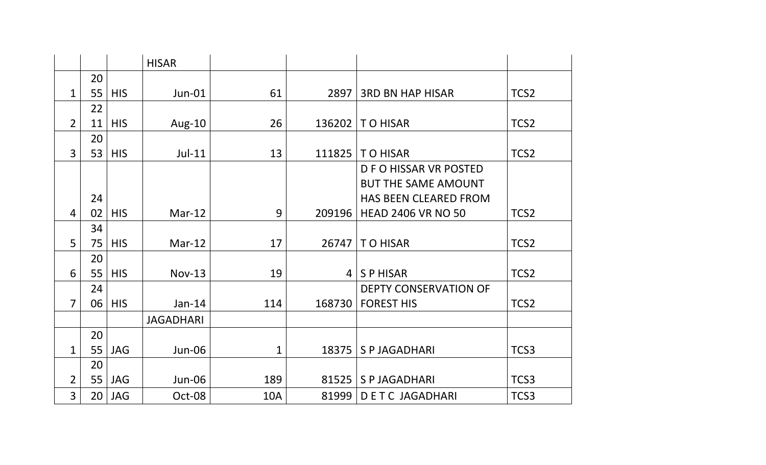|                |    |            | <b>HISAR</b>     |     |                 |                              |                  |
|----------------|----|------------|------------------|-----|-----------------|------------------------------|------------------|
|                | 20 |            |                  |     |                 |                              |                  |
| $\mathbf{1}$   | 55 | <b>HIS</b> | <b>Jun-01</b>    | 61  | 2897            | <b>3RD BN HAP HISAR</b>      | TCS <sub>2</sub> |
|                | 22 |            |                  |     |                 |                              |                  |
| $\overline{2}$ | 11 | <b>HIS</b> | Aug-10           | 26  | 136202          | <b>TO HISAR</b>              | TCS <sub>2</sub> |
|                | 20 |            |                  |     |                 |                              |                  |
| 3              | 53 | <b>HIS</b> | $Jul-11$         | 13  | 111825          | <b>TO HISAR</b>              | TCS <sub>2</sub> |
|                |    |            |                  |     |                 | D F O HISSAR VR POSTED       |                  |
|                |    |            |                  |     |                 | <b>BUT THE SAME AMOUNT</b>   |                  |
|                | 24 |            |                  |     |                 | <b>HAS BEEN CLEARED FROM</b> |                  |
| $\overline{4}$ | 02 | <b>HIS</b> | $Mar-12$         | 9   | 209196          | <b>HEAD 2406 VR NO 50</b>    | TCS <sub>2</sub> |
|                | 34 |            |                  |     |                 |                              |                  |
| 5              | 75 | <b>HIS</b> | $Mar-12$         | 17  | 26747           | <b>TO HISAR</b>              | TCS <sub>2</sub> |
|                | 20 |            |                  |     |                 |                              |                  |
| 6              | 55 | <b>HIS</b> | $Nov-13$         | 19  | $\vert 4 \vert$ | <b>SPHISAR</b>               | TCS2             |
|                | 24 |            |                  |     |                 | <b>DEPTY CONSERVATION OF</b> |                  |
| $\overline{7}$ | 06 | <b>HIS</b> | $Jan-14$         | 114 | 168730          | <b>FOREST HIS</b>            | TCS <sub>2</sub> |
|                |    |            | <b>JAGADHARI</b> |     |                 |                              |                  |
|                | 20 |            |                  |     |                 |                              |                  |
| 1              | 55 | <b>JAG</b> | Jun-06           | 1   | 18375           | <b>SPJAGADHARI</b>           | TCS3             |
|                | 20 |            |                  |     |                 |                              |                  |
| $\overline{2}$ | 55 | <b>JAG</b> | Jun-06           | 189 | 81525           | <b>SPJAGADHARI</b>           | TCS3             |
| $\overline{3}$ | 20 | <b>JAG</b> | Oct-08           | 10A | 81999           | <b>DETC JAGADHARI</b>        | TCS3             |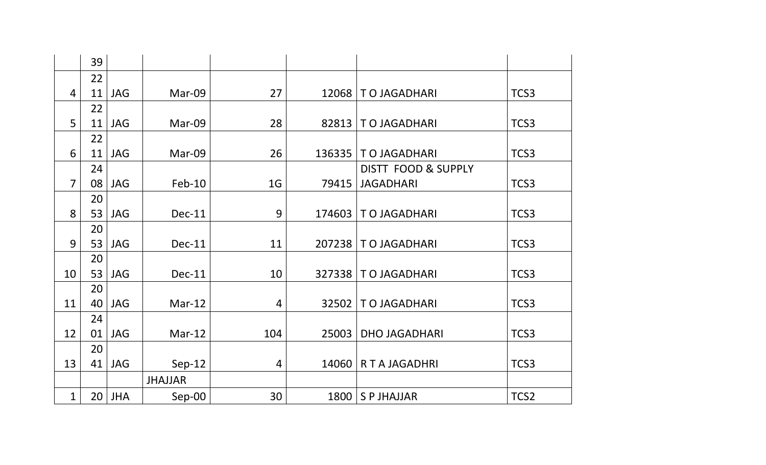|                | 39 |            |                |                |        |                       |      |
|----------------|----|------------|----------------|----------------|--------|-----------------------|------|
|                | 22 |            |                |                |        |                       |      |
| $\overline{4}$ | 11 | <b>JAG</b> | Mar-09         | 27             | 12068  | TO JAGADHARI          | TCS3 |
|                | 22 |            |                |                |        |                       |      |
| 5              | 11 | <b>JAG</b> | Mar-09         | 28             | 82813  | TO JAGADHARI          | TCS3 |
|                | 22 |            |                |                |        |                       |      |
| 6              | 11 | <b>JAG</b> | Mar-09         | 26             | 136335 | TO JAGADHARI          | TCS3 |
|                | 24 |            |                |                |        | DISTT FOOD & SUPPLY   |      |
| $\overline{7}$ | 08 | <b>JAG</b> | $Feb-10$       | 1 <sub>G</sub> | 79415  | <b>JAGADHARI</b>      | TCS3 |
|                | 20 |            |                |                |        |                       |      |
| 8              | 53 | <b>JAG</b> | Dec-11         | 9              | 174603 | TO JAGADHARI          | TCS3 |
|                | 20 |            |                |                |        |                       |      |
| 9              | 53 | <b>JAG</b> | $Dec-11$       | 11             |        | 207238   TO JAGADHARI | TCS3 |
|                | 20 |            |                |                |        |                       |      |
| 10             | 53 | <b>JAG</b> | Dec-11         | 10             | 327338 | TO JAGADHARI          | TCS3 |
|                | 20 |            |                |                |        |                       |      |
| 11             | 40 | <b>JAG</b> | $Mar-12$       | 4              | 32502  | TO JAGADHARI          | TCS3 |
|                | 24 |            |                |                |        |                       |      |
| 12             | 01 | <b>JAG</b> | $Mar-12$       | 104            | 25003  | <b>DHO JAGADHARI</b>  | TCS3 |
|                | 20 |            |                |                |        |                       |      |
| 13             | 41 | <b>JAG</b> | $Sep-12$       | 4              | 14060  | <b>RTAJAGADHRI</b>    | TCS3 |
|                |    |            | <b>JHAJJAR</b> |                |        |                       |      |
| 1              | 20 | <b>JHA</b> | Sep-00         | 30             |        | $1800$ S P JHAJJAR    | TCS2 |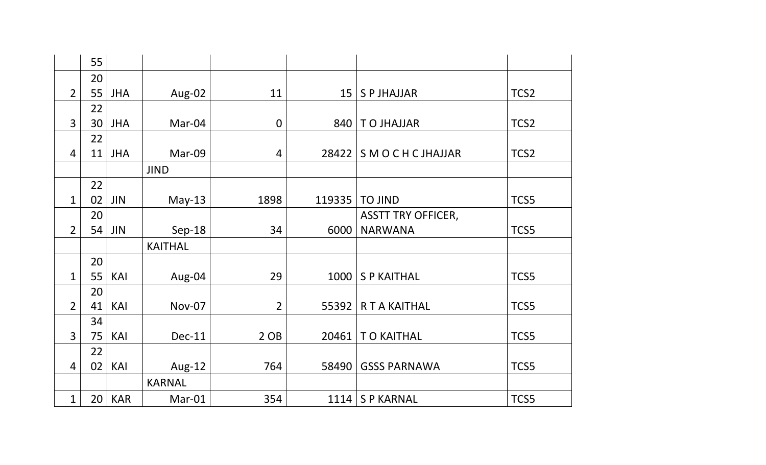|                | 55 |            |                |                |                 |                             |                  |
|----------------|----|------------|----------------|----------------|-----------------|-----------------------------|------------------|
|                | 20 |            |                |                |                 |                             |                  |
| $\overline{2}$ | 55 | <b>JHA</b> | Aug-02         | 11             | 15 <sup>1</sup> | <b>SPJHAJJAR</b>            | TCS2             |
|                | 22 |            |                |                |                 |                             |                  |
| $\overline{3}$ | 30 | <b>JHA</b> | Mar-04         | $\mathbf 0$    |                 | 840   T O JHAJJAR           | TCS <sub>2</sub> |
|                | 22 |            |                |                |                 |                             |                  |
| $\overline{4}$ | 11 | <b>JHA</b> | Mar-09         | 4              |                 | 28422   S M O C H C JHAJJAR | TCS2             |
|                |    |            | <b>JIND</b>    |                |                 |                             |                  |
|                | 22 |            |                |                |                 |                             |                  |
| $\mathbf{1}$   | 02 | <b>JIN</b> | $May-13$       | 1898           |                 | 119335   TO JIND            | TCS5             |
|                | 20 |            |                |                |                 | <b>ASSTT TRY OFFICER,</b>   |                  |
| $\overline{2}$ | 54 | <b>JIN</b> | Sep-18         | 34             | 6000            | <b>NARWANA</b>              | TCS5             |
|                |    |            | <b>KAITHAL</b> |                |                 |                             |                  |
|                | 20 |            |                |                |                 |                             |                  |
| 1              | 55 | KAI        | Aug-04         | 29             | 1000            | <b>SP KAITHAL</b>           | TCS5             |
|                | 20 |            |                |                |                 |                             |                  |
| $\overline{2}$ | 41 | KAI        | <b>Nov-07</b>  | $\overline{2}$ | 55392           | <b>RTAKAITHAL</b>           | TCS5             |
|                | 34 |            |                |                |                 |                             |                  |
| $\overline{3}$ | 75 | KAI        | <b>Dec-11</b>  | 2OB            | 20461           | <b>TO KAITHAL</b>           | TCS5             |
|                | 22 |            |                |                |                 |                             |                  |
| $\overline{4}$ | 02 | KAI        | Aug-12         | 764            | 58490           | <b>GSSS PARNAWA</b>         | TCS5             |
|                |    |            | <b>KARNAL</b>  |                |                 |                             |                  |
| $\mathbf 1$    | 20 | <b>KAR</b> | Mar-01         | 354            |                 | $1114$ S P KARNAL           | TCS5             |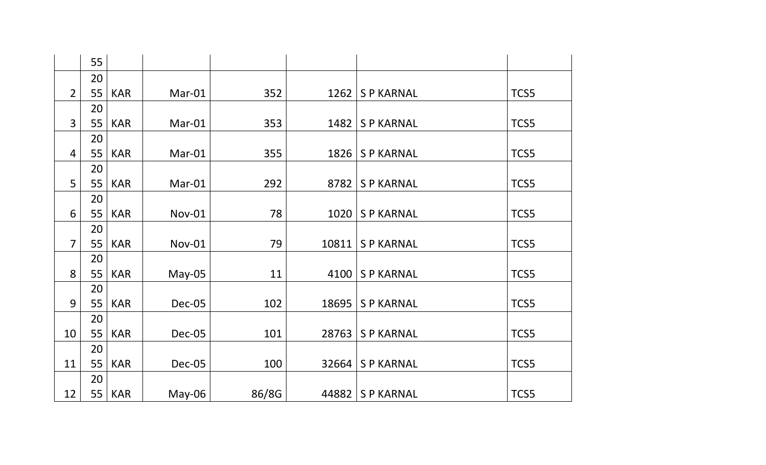|                | 55       |            |               |       |       |                    |      |
|----------------|----------|------------|---------------|-------|-------|--------------------|------|
|                | 20       |            |               |       |       |                    |      |
| $\overline{2}$ | 55       | <b>KAR</b> | Mar-01        | 352   | 1262  | <b>SP KARNAL</b>   | TCS5 |
|                | 20       |            |               |       |       |                    |      |
| $\overline{3}$ | 55       | <b>KAR</b> | Mar-01        | 353   | 1482  | <b>SP KARNAL</b>   | TCS5 |
|                | 20       |            |               |       |       |                    |      |
| 4              | 55       | <b>KAR</b> | Mar-01        | 355   | 1826  | <b>SP KARNAL</b>   | TCS5 |
|                | 20       |            |               |       |       |                    |      |
| 5              | 55       | <b>KAR</b> | Mar-01        | 292   | 8782  | <b>SP KARNAL</b>   | TCS5 |
|                | 20       |            |               |       |       |                    |      |
| 6              | 55       | <b>KAR</b> | <b>Nov-01</b> | 78    | 1020  | <b>SP KARNAL</b>   | TCS5 |
|                | 20       |            |               |       |       |                    |      |
| $\overline{7}$ | 55       | <b>KAR</b> | <b>Nov-01</b> | 79    | 10811 | <b>SP KARNAL</b>   | TCS5 |
|                | 20       |            |               |       |       |                    |      |
| 8              | 55       | <b>KAR</b> | $May-05$      | 11    | 4100  | <b>SP KARNAL</b>   | TCS5 |
|                | 20       |            |               |       |       |                    |      |
| 9              | 55       | <b>KAR</b> | Dec-05        | 102   | 18695 | <b>SP KARNAL</b>   | TCS5 |
| 10             | 20<br>55 | <b>KAR</b> | Dec-05        | 101   | 28763 | <b>SP KARNAL</b>   | TCS5 |
|                | 20       |            |               |       |       |                    |      |
| 11             | 55       | <b>KAR</b> | Dec-05        | 100   |       | 32664   S P KARNAL | TCS5 |
|                | 20       |            |               |       |       |                    |      |
| 12             | 55       | <b>KAR</b> | May-06        | 86/8G |       | 44882   S P KARNAL | TCS5 |
|                |          |            |               |       |       |                    |      |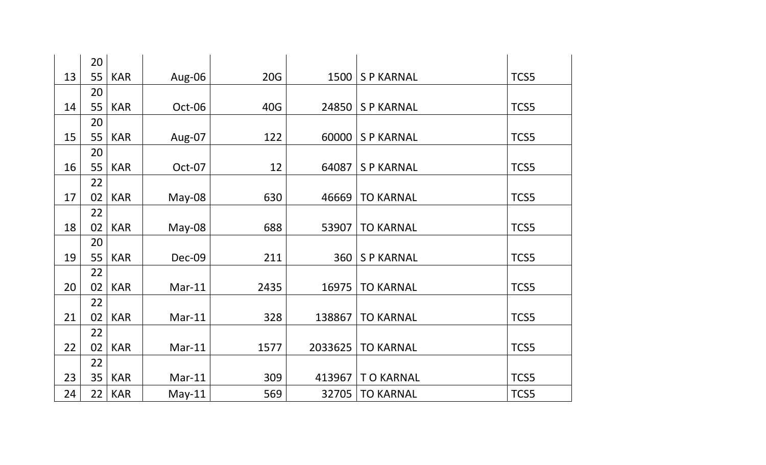|    | 20              |            |          |      |         |                  |      |
|----|-----------------|------------|----------|------|---------|------------------|------|
| 13 | 55              | <b>KAR</b> | Aug-06   | 20G  | 1500    | <b>SP KARNAL</b> | TCS5 |
|    | 20              |            |          |      |         |                  |      |
| 14 | 55              | <b>KAR</b> | Oct-06   | 40G  | 24850   | <b>SP KARNAL</b> | TCS5 |
|    | 20              |            |          |      |         |                  |      |
| 15 | 55              | <b>KAR</b> | Aug-07   | 122  | 60000   | <b>SP KARNAL</b> | TCS5 |
|    | 20              |            |          |      |         |                  |      |
| 16 | 55              | <b>KAR</b> | Oct-07   | 12   | 64087   | <b>SP KARNAL</b> | TCS5 |
|    | 22              |            |          |      |         |                  |      |
| 17 | 02              | <b>KAR</b> | $May-08$ | 630  | 46669   | <b>TO KARNAL</b> | TCS5 |
|    | 22              |            |          |      |         |                  |      |
| 18 | 02              | <b>KAR</b> | May-08   | 688  | 53907   | <b>TO KARNAL</b> | TCS5 |
|    | 20              |            |          |      |         |                  |      |
| 19 | 55              | <b>KAR</b> | Dec-09   | 211  | 360     | <b>SP KARNAL</b> | TCS5 |
|    | 22              |            |          |      |         |                  |      |
| 20 | 02              | <b>KAR</b> | $Mar-11$ | 2435 | 16975   | <b>TO KARNAL</b> | TCS5 |
|    | 22              |            |          |      |         |                  |      |
| 21 | 02              | <b>KAR</b> | $Mar-11$ | 328  | 138867  | <b>TO KARNAL</b> | TCS5 |
|    | 22              |            |          |      |         |                  |      |
| 22 | 02              | <b>KAR</b> | $Mar-11$ | 1577 | 2033625 | <b>TO KARNAL</b> | TCS5 |
|    | 22              |            |          |      |         |                  |      |
| 23 | 35              | <b>KAR</b> | $Mar-11$ | 309  | 413967  | <b>TO KARNAL</b> | TCS5 |
| 24 | 22 <sup>1</sup> | <b>KAR</b> | $May-11$ | 569  | 32705   | <b>TO KARNAL</b> | TCS5 |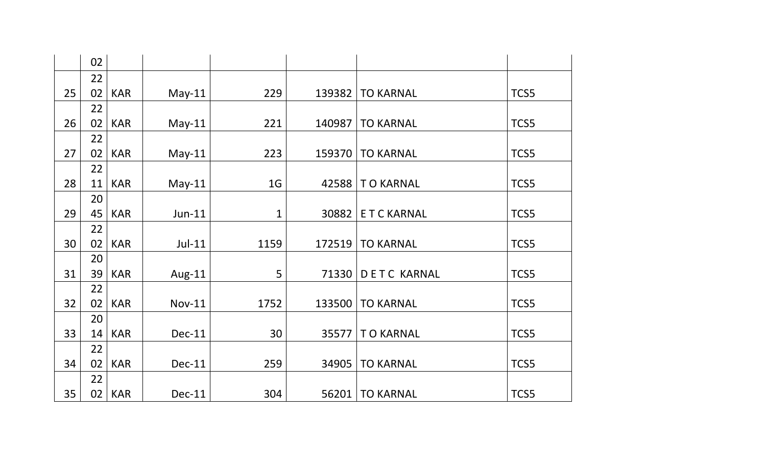|    | 02       |            |               |                |        |                    |      |
|----|----------|------------|---------------|----------------|--------|--------------------|------|
|    | 22       |            |               |                |        |                    |      |
| 25 | 02       | <b>KAR</b> | $May-11$      | 229            | 139382 | <b>TO KARNAL</b>   | TCS5 |
|    | 22       |            |               |                |        |                    |      |
| 26 | 02       | <b>KAR</b> | $May-11$      | 221            | 140987 | <b>TO KARNAL</b>   | TCS5 |
|    | 22       |            |               |                |        |                    |      |
| 27 | 02       | <b>KAR</b> | $May-11$      | 223            | 159370 | <b>TO KARNAL</b>   | TCS5 |
|    | 22       |            |               |                |        |                    |      |
| 28 | 11       | <b>KAR</b> | $May-11$      | 1 <sub>G</sub> |        | 42588   T O KARNAL | TCS5 |
|    | 20       |            |               |                |        |                    |      |
| 29 | 45       | <b>KAR</b> | $Jun-11$      | $\mathbf{1}$   | 30882  | <b>ETCKARNAL</b>   | TCS5 |
|    | 22       |            |               |                |        |                    |      |
| 30 | 02       | <b>KAR</b> | $Jul-11$      | 1159           | 172519 | <b>TO KARNAL</b>   | TCS5 |
|    | 20       |            |               |                |        |                    |      |
| 31 | 39       | <b>KAR</b> | Aug-11        | 5              | 71330  | <b>DETC KARNAL</b> | TCS5 |
|    | 22       |            |               |                |        |                    |      |
| 32 | 02       | <b>KAR</b> | <b>Nov-11</b> | 1752           | 133500 | <b>TO KARNAL</b>   | TCS5 |
|    | 20       |            |               |                |        |                    |      |
| 33 | 14       | <b>KAR</b> | Dec-11        | 30             | 35577  | TO KARNAL          | TCS5 |
| 34 | 22<br>02 | <b>KAR</b> | Dec-11        | 259            | 34905  | <b>TO KARNAL</b>   | TCS5 |
|    | 22       |            |               |                |        |                    |      |
| 35 | 02       | <b>KAR</b> | Dec-11        | 304            | 56201  | <b>TO KARNAL</b>   | TCS5 |
|    |          |            |               |                |        |                    |      |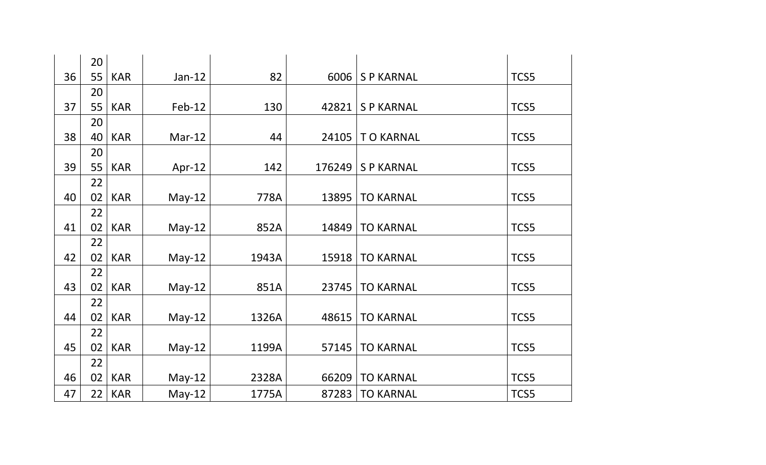|    | 20 |            |          |       |        |                  |      |
|----|----|------------|----------|-------|--------|------------------|------|
| 36 | 55 | <b>KAR</b> | $Jan-12$ | 82    | 6006   | <b>SP KARNAL</b> | TCS5 |
|    | 20 |            |          |       |        |                  |      |
| 37 | 55 | <b>KAR</b> | $Feb-12$ | 130   | 42821  | <b>SP KARNAL</b> | TCS5 |
|    | 20 |            |          |       |        |                  |      |
| 38 | 40 | <b>KAR</b> | $Mar-12$ | 44    | 24105  | <b>TO KARNAL</b> | TCS5 |
|    | 20 |            |          |       |        |                  |      |
| 39 | 55 | <b>KAR</b> | Apr-12   | 142   | 176249 | <b>SP KARNAL</b> | TCS5 |
|    | 22 |            |          |       |        |                  |      |
| 40 | 02 | <b>KAR</b> | $May-12$ | 778A  | 13895  | <b>TO KARNAL</b> | TCS5 |
|    | 22 |            |          |       |        |                  |      |
| 41 | 02 | <b>KAR</b> | $May-12$ | 852A  | 14849  | <b>TO KARNAL</b> | TCS5 |
|    | 22 |            |          |       |        |                  |      |
| 42 | 02 | <b>KAR</b> | $May-12$ | 1943A | 15918  | <b>TO KARNAL</b> | TCS5 |
|    | 22 |            |          |       |        |                  |      |
| 43 | 02 | <b>KAR</b> | $May-12$ | 851A  | 23745  | <b>TO KARNAL</b> | TCS5 |
|    | 22 |            |          |       |        |                  |      |
| 44 | 02 | <b>KAR</b> | $May-12$ | 1326A | 48615  | <b>TO KARNAL</b> | TCS5 |
|    | 22 |            |          |       |        |                  |      |
| 45 | 02 | <b>KAR</b> | $May-12$ | 1199A | 57145  | <b>TO KARNAL</b> | TCS5 |
|    | 22 |            |          |       |        |                  |      |
| 46 | 02 | <b>KAR</b> | $May-12$ | 2328A | 66209  | <b>TO KARNAL</b> | TCS5 |
| 47 | 22 | <b>KAR</b> | $May-12$ | 1775A | 87283  | <b>TO KARNAL</b> | TCS5 |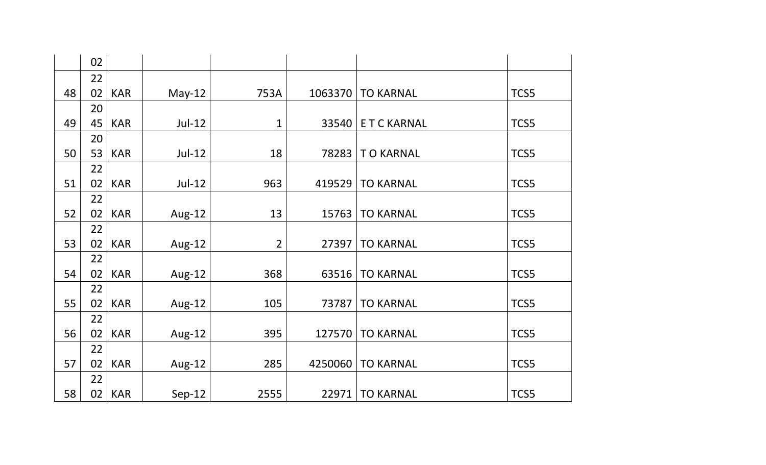|    | 02 |            |          |                |         |                  |      |
|----|----|------------|----------|----------------|---------|------------------|------|
|    | 22 |            |          |                |         |                  |      |
| 48 | 02 | <b>KAR</b> | $May-12$ | 753A           | 1063370 | <b>TO KARNAL</b> | TCS5 |
|    | 20 |            |          |                |         |                  |      |
| 49 | 45 | <b>KAR</b> | $Jul-12$ | $\mathbf{1}$   | 33540   | <b>ETCKARNAL</b> | TCS5 |
|    | 20 |            |          |                |         |                  |      |
| 50 | 53 | <b>KAR</b> | $Jul-12$ | 18             | 78283   | <b>TO KARNAL</b> | TCS5 |
|    | 22 |            |          |                |         |                  |      |
| 51 | 02 | <b>KAR</b> | $Jul-12$ | 963            | 419529  | <b>TO KARNAL</b> | TCS5 |
|    | 22 |            |          |                |         |                  |      |
| 52 | 02 | <b>KAR</b> | Aug-12   | 13             | 15763   | <b>TO KARNAL</b> | TCS5 |
|    | 22 |            |          |                |         |                  |      |
| 53 | 02 | <b>KAR</b> | Aug-12   | $\overline{2}$ | 27397   | <b>TO KARNAL</b> | TCS5 |
|    | 22 |            |          |                |         |                  |      |
| 54 | 02 | <b>KAR</b> | Aug-12   | 368            | 63516   | <b>TO KARNAL</b> | TCS5 |
|    | 22 |            |          |                |         |                  |      |
| 55 | 02 | <b>KAR</b> | Aug-12   | 105            | 73787   | <b>TO KARNAL</b> | TCS5 |
|    | 22 |            |          |                |         |                  |      |
| 56 | 02 | <b>KAR</b> | Aug-12   | 395            | 127570  | <b>TO KARNAL</b> | TCS5 |
|    | 22 |            |          |                |         |                  |      |
| 57 | 02 | <b>KAR</b> | Aug-12   | 285            | 4250060 | <b>TO KARNAL</b> | TCS5 |
|    | 22 |            |          |                |         |                  |      |
| 58 | 02 | <b>KAR</b> | $Sep-12$ | 2555           | 22971   | <b>TO KARNAL</b> | TCS5 |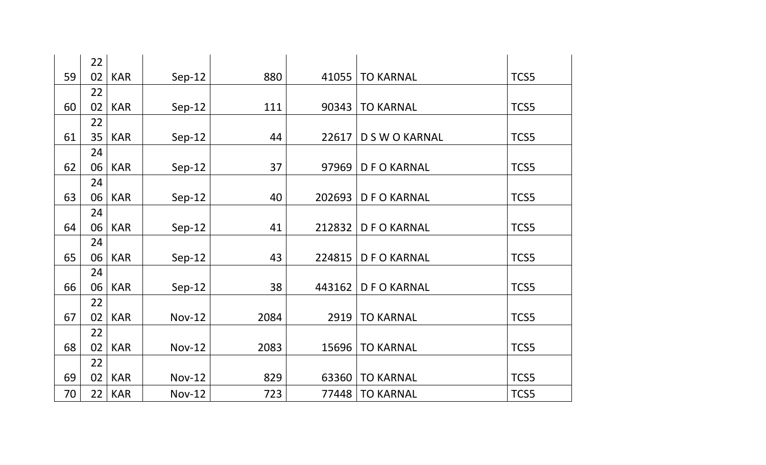|    | 22 |            |               |      |        |                  |      |
|----|----|------------|---------------|------|--------|------------------|------|
| 59 | 02 | <b>KAR</b> | $Sep-12$      | 880  | 41055  | <b>TO KARNAL</b> | TCS5 |
|    | 22 |            |               |      |        |                  |      |
| 60 | 02 | <b>KAR</b> | $Sep-12$      | 111  | 90343  | <b>TO KARNAL</b> | TCS5 |
|    | 22 |            |               |      |        |                  |      |
| 61 | 35 | <b>KAR</b> | $Sep-12$      | 44   | 22617  | D S W O KARNAL   | TCS5 |
|    | 24 |            |               |      |        |                  |      |
| 62 | 06 | <b>KAR</b> | $Sep-12$      | 37   | 97969  | <b>DFOKARNAL</b> | TCS5 |
|    | 24 |            |               |      |        |                  |      |
| 63 | 06 | <b>KAR</b> | $Sep-12$      | 40   | 202693 | <b>DFOKARNAL</b> | TCS5 |
|    | 24 |            |               |      |        |                  |      |
| 64 | 06 | <b>KAR</b> | $Sep-12$      | 41   | 212832 | <b>DFOKARNAL</b> | TCS5 |
|    | 24 |            |               |      |        |                  |      |
| 65 | 06 | <b>KAR</b> | $Sep-12$      | 43   | 224815 | <b>DFOKARNAL</b> | TCS5 |
|    | 24 |            |               |      |        |                  |      |
| 66 | 06 | <b>KAR</b> | $Sep-12$      | 38   | 443162 | <b>DFOKARNAL</b> | TCS5 |
|    | 22 |            |               |      |        |                  |      |
| 67 | 02 | <b>KAR</b> | <b>Nov-12</b> | 2084 | 2919   | <b>TO KARNAL</b> | TCS5 |
|    | 22 |            |               |      |        |                  |      |
| 68 | 02 | <b>KAR</b> | <b>Nov-12</b> | 2083 | 15696  | <b>TO KARNAL</b> | TCS5 |
|    | 22 |            |               |      |        |                  |      |
| 69 | 02 | <b>KAR</b> | <b>Nov-12</b> | 829  | 63360  | <b>TO KARNAL</b> | TCS5 |
| 70 | 22 | <b>KAR</b> | <b>Nov-12</b> | 723  | 77448  | <b>TO KARNAL</b> | TCS5 |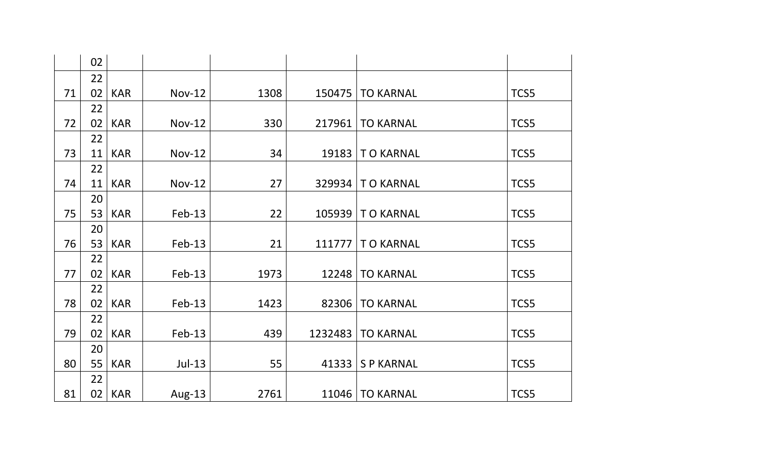| 02       |            |               |      |         |                          |      |
|----------|------------|---------------|------|---------|--------------------------|------|
| 22       |            |               |      |         |                          |      |
| 71<br>02 | <b>KAR</b> | <b>Nov-12</b> | 1308 | 150475  | <b>TO KARNAL</b>         | TCS5 |
| 22       |            |               |      |         |                          |      |
| 72<br>02 | <b>KAR</b> | <b>Nov-12</b> | 330  | 217961  | <b>TO KARNAL</b>         | TCS5 |
| 22       |            |               |      |         |                          |      |
| 73<br>11 | <b>KAR</b> | <b>Nov-12</b> | 34   | 19183   | <b>TO KARNAL</b>         | TCS5 |
| 22       |            |               |      |         |                          |      |
| 74<br>11 | <b>KAR</b> | <b>Nov-12</b> | 27   | 329934  | <b>TO KARNAL</b>         | TCS5 |
| 20       |            |               |      |         |                          |      |
| 75<br>53 | <b>KAR</b> | $Feb-13$      | 22   |         | 105939   T O KARNAL      | TCS5 |
| 20       |            |               |      |         |                          |      |
| 76<br>53 | <b>KAR</b> | $Feb-13$      | 21   | 111777  | <b>TO KARNAL</b>         | TCS5 |
| 22       |            |               |      |         |                          |      |
| 77<br>02 | <b>KAR</b> | $Feb-13$      | 1973 | 12248   | <b>TO KARNAL</b>         | TCS5 |
| 22       |            |               |      |         |                          |      |
| 78<br>02 | <b>KAR</b> | $Feb-13$      | 1423 | 82306   | <b>TO KARNAL</b>         | TCS5 |
| 22       |            |               |      |         |                          |      |
| 79<br>02 | <b>KAR</b> | $Feb-13$      | 439  | 1232483 | <b>TO KARNAL</b>         | TCS5 |
| 20       |            |               |      |         |                          |      |
| 80<br>55 | <b>KAR</b> | $Jul-13$      | 55   | 41333   | <b>SP KARNAL</b>         | TCS5 |
| 22       |            |               |      |         |                          |      |
| 81<br>02 | <b>KAR</b> | Aug-13        | 2761 |         | <b>11046   TO KARNAL</b> | TCS5 |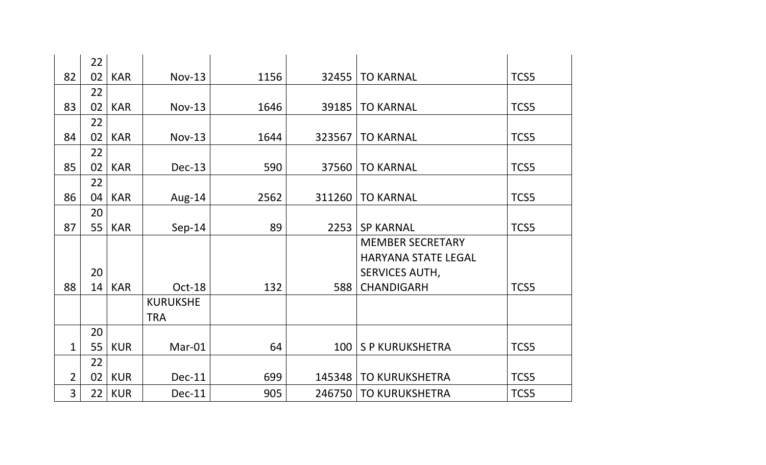|                | 22 |            |                 |      |        |                            |      |
|----------------|----|------------|-----------------|------|--------|----------------------------|------|
| 82             | 02 | <b>KAR</b> | $Nov-13$        | 1156 | 32455  | <b>TO KARNAL</b>           | TCS5 |
|                | 22 |            |                 |      |        |                            |      |
| 83             | 02 | <b>KAR</b> | <b>Nov-13</b>   | 1646 | 39185  | <b>TO KARNAL</b>           | TCS5 |
|                | 22 |            |                 |      |        |                            |      |
| 84             | 02 | <b>KAR</b> | <b>Nov-13</b>   | 1644 | 323567 | <b>TO KARNAL</b>           | TCS5 |
|                | 22 |            |                 |      |        |                            |      |
| 85             | 02 | <b>KAR</b> | Dec-13          | 590  | 37560  | <b>TO KARNAL</b>           | TCS5 |
|                | 22 |            |                 |      |        |                            |      |
| 86             | 04 | <b>KAR</b> | Aug-14          | 2562 | 311260 | <b>TO KARNAL</b>           | TCS5 |
|                | 20 |            |                 |      |        |                            |      |
| 87             | 55 | <b>KAR</b> | $Sep-14$        | 89   | 2253   | <b>SP KARNAL</b>           | TCS5 |
|                |    |            |                 |      |        | <b>MEMBER SECRETARY</b>    |      |
|                |    |            |                 |      |        | <b>HARYANA STATE LEGAL</b> |      |
|                | 20 |            |                 |      |        | SERVICES AUTH,             |      |
| 88             | 14 | <b>KAR</b> | Oct-18          | 132  | 588    | <b>CHANDIGARH</b>          | TCS5 |
|                |    |            | <b>KURUKSHE</b> |      |        |                            |      |
|                |    |            | <b>TRA</b>      |      |        |                            |      |
|                | 20 |            |                 |      |        |                            |      |
| $\mathbf 1$    | 55 | <b>KUR</b> | Mar-01          | 64   | 100    | <b>SP KURUKSHETRA</b>      | TCS5 |
|                | 22 |            |                 |      |        |                            |      |
| $\overline{2}$ | 02 | <b>KUR</b> | Dec-11          | 699  | 145348 | <b>TO KURUKSHETRA</b>      | TCS5 |
| $\overline{3}$ | 22 | <b>KUR</b> | <b>Dec-11</b>   | 905  | 246750 | <b>TO KURUKSHETRA</b>      | TCS5 |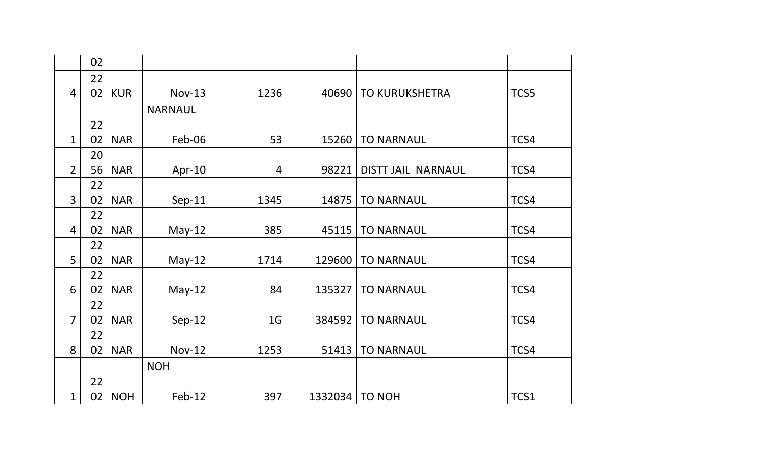|                | 02 |            |                |                |         |                       |      |
|----------------|----|------------|----------------|----------------|---------|-----------------------|------|
|                | 22 |            |                |                |         |                       |      |
| $\overline{4}$ | 02 | <b>KUR</b> | $Nov-13$       | 1236           | 40690   | <b>TO KURUKSHETRA</b> | TCS5 |
|                |    |            | <b>NARNAUL</b> |                |         |                       |      |
|                | 22 |            |                |                |         |                       |      |
| $\mathbf{1}$   | 02 | <b>NAR</b> | Feb-06         | 53             | 15260   | <b>TO NARNAUL</b>     | TCS4 |
|                | 20 |            |                |                |         |                       |      |
| $\overline{2}$ | 56 | <b>NAR</b> | Apr-10         | $\overline{4}$ | 98221   | DISTT JAIL NARNAUL    | TCS4 |
|                | 22 |            |                |                |         |                       |      |
| $\overline{3}$ | 02 | <b>NAR</b> | $Sep-11$       | 1345           | 14875   | <b>TO NARNAUL</b>     | TCS4 |
|                | 22 |            |                |                |         |                       |      |
| 4              | 02 | <b>NAR</b> | $May-12$       | 385            | 45115   | <b>TO NARNAUL</b>     | TCS4 |
|                | 22 |            |                |                |         |                       |      |
| 5              | 02 | <b>NAR</b> | $May-12$       | 1714           | 129600  | <b>TO NARNAUL</b>     | TCS4 |
|                | 22 |            |                |                |         |                       |      |
| 6              | 02 | <b>NAR</b> | $May-12$       | 84             | 135327  | <b>TO NARNAUL</b>     | TCS4 |
|                | 22 |            |                |                |         |                       |      |
| $\overline{7}$ | 02 | <b>NAR</b> | $Sep-12$       | 1 <sub>G</sub> | 384592  | <b>TO NARNAUL</b>     | TCS4 |
|                | 22 |            |                |                |         |                       |      |
| 8              | 02 | <b>NAR</b> | <b>Nov-12</b>  | 1253           | 51413   | <b>TO NARNAUL</b>     | TCS4 |
|                |    |            | <b>NOH</b>     |                |         |                       |      |
|                | 22 |            |                |                |         |                       |      |
| 1              | 02 | <b>NOH</b> | Feb-12         | 397            | 1332034 | <b>TO NOH</b>         | TCS1 |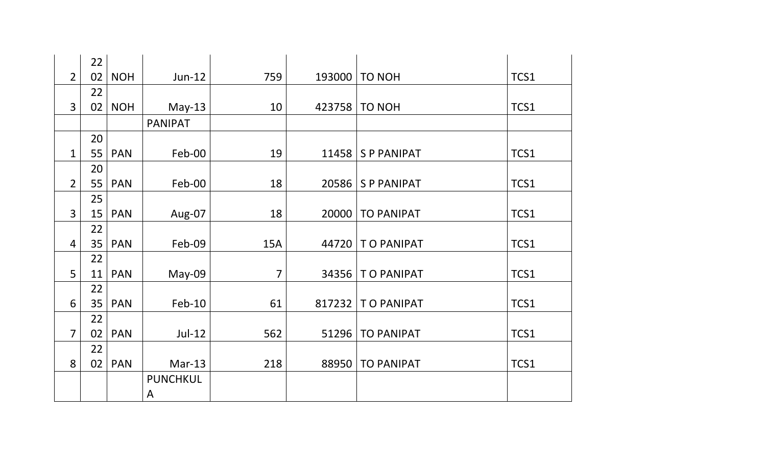|                | 22 |            |                 |                |       |                      |      |
|----------------|----|------------|-----------------|----------------|-------|----------------------|------|
| $\overline{2}$ | 02 | <b>NOH</b> | $Jun-12$        | 759            |       | 193000   TO NOH      | TCS1 |
|                | 22 |            |                 |                |       |                      |      |
| $\overline{3}$ | 02 | <b>NOH</b> | $May-13$        | 10             |       | 423758   TO NOH      | TCS1 |
|                |    |            | <b>PANIPAT</b>  |                |       |                      |      |
|                | 20 |            |                 |                |       |                      |      |
| $\mathbf 1$    | 55 | <b>PAN</b> | Feb-00          | 19             |       | 11458   S P PANIPAT  | TCS1 |
|                | 20 |            |                 |                |       |                      |      |
| $\overline{2}$ | 55 | <b>PAN</b> | Feb-00          | 18             | 20586 | <b>SP PANIPAT</b>    | TCS1 |
|                | 25 |            |                 |                |       |                      |      |
| $\overline{3}$ | 15 | <b>PAN</b> | Aug-07          | 18             |       | 20000   TO PANIPAT   | TCS1 |
|                | 22 |            |                 |                |       |                      |      |
| 4              | 35 | <b>PAN</b> | Feb-09          | <b>15A</b>     |       | 44720   T O PANIPAT  | TCS1 |
|                | 22 |            |                 |                |       |                      |      |
| 5              | 11 | <b>PAN</b> | May-09          | $\overline{7}$ |       | 34356   T O PANIPAT  | TCS1 |
|                | 22 |            |                 |                |       |                      |      |
| 6              | 35 | <b>PAN</b> | $Feb-10$        | 61             |       | 817232   T O PANIPAT | TCS1 |
|                | 22 |            |                 |                |       |                      |      |
| $\overline{7}$ | 02 | <b>PAN</b> | $Jul-12$        | 562            | 51296 | <b>TO PANIPAT</b>    | TCS1 |
|                | 22 |            |                 |                |       |                      |      |
| 8              | 02 | <b>PAN</b> | $Mar-13$        | 218            |       | 88950   TO PANIPAT   | TCS1 |
|                |    |            | <b>PUNCHKUL</b> |                |       |                      |      |
|                |    |            | A               |                |       |                      |      |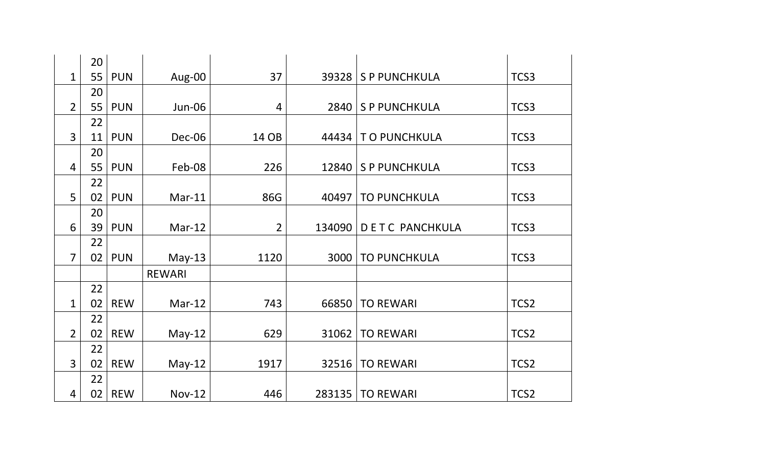|                | 20 |            |               |                |        |                       |      |
|----------------|----|------------|---------------|----------------|--------|-----------------------|------|
| 1              | 55 | <b>PUN</b> | Aug-00        | 37             | 39328  | S P PUNCHKULA         | TCS3 |
|                | 20 |            |               |                |        |                       |      |
| $\overline{2}$ | 55 | <b>PUN</b> | <b>Jun-06</b> | $\overline{4}$ | 2840   | <b>SP PUNCHKULA</b>   | TCS3 |
|                | 22 |            |               |                |        |                       |      |
| $\overline{3}$ | 11 | <b>PUN</b> | Dec-06        | 14 OB          | 44434  | TO PUNCHKULA          | TCS3 |
|                | 20 |            |               |                |        |                       |      |
| $\overline{4}$ | 55 | <b>PUN</b> | Feb-08        | 226            | 12840  | S P PUNCHKULA         | TCS3 |
|                | 22 |            |               |                |        |                       |      |
| 5              | 02 | <b>PUN</b> | $Mar-11$      | 86G            | 40497  | <b>TO PUNCHKULA</b>   | TCS3 |
|                | 20 |            |               |                |        |                       |      |
| 6              | 39 | <b>PUN</b> | $Mar-12$      | $\overline{2}$ | 134090 | <b>DETC PANCHKULA</b> | TCS3 |
|                | 22 |            |               |                |        |                       |      |
| $\overline{7}$ | 02 | <b>PUN</b> | $May-13$      | 1120           | 3000   | <b>TO PUNCHKULA</b>   | TCS3 |
|                |    |            | <b>REWARI</b> |                |        |                       |      |
|                | 22 |            |               |                |        |                       |      |
| $\mathbf{1}$   | 02 | <b>REW</b> | $Mar-12$      | 743            | 66850  | <b>TO REWARI</b>      | TCS2 |
|                | 22 |            |               |                |        |                       |      |
| $\overline{2}$ | 02 | <b>REW</b> | $May-12$      | 629            | 31062  | <b>TO REWARI</b>      | TCS2 |
|                | 22 |            |               |                |        |                       |      |
| 3              | 02 | <b>REW</b> | $May-12$      | 1917           | 32516  | <b>TO REWARI</b>      | TCS2 |
|                | 22 |            |               |                |        |                       |      |
| 4              | 02 | <b>REW</b> | <b>Nov-12</b> | 446            | 283135 | <b>TO REWARI</b>      | TCS2 |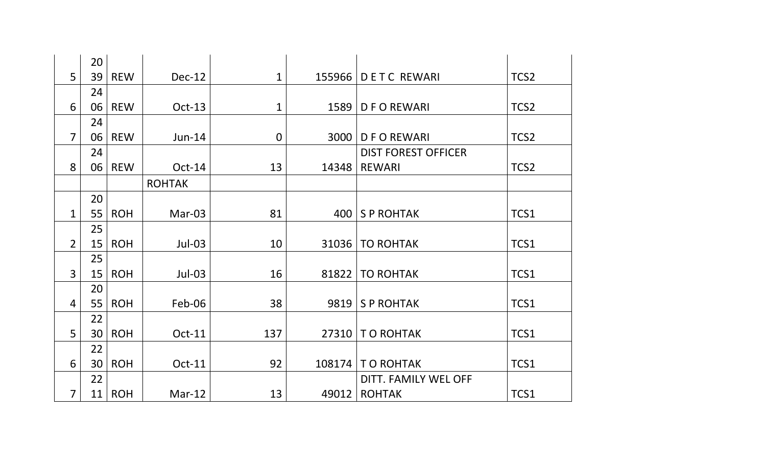|                | 20 |            |               |                |        |                            |                  |
|----------------|----|------------|---------------|----------------|--------|----------------------------|------------------|
| 5              | 39 | <b>REW</b> | Dec-12        | $\mathbf{1}$   | 155966 | <b>DETC REWARI</b>         | TCS <sub>2</sub> |
|                | 24 |            |               |                |        |                            |                  |
| 6              | 06 | <b>REW</b> | Oct-13        | $\mathbf{1}$   | 1589   | <b>DFOREWARI</b>           | TCS <sub>2</sub> |
|                | 24 |            |               |                |        |                            |                  |
| $\overline{7}$ | 06 | <b>REW</b> | $Jun-14$      | $\overline{0}$ | 3000   | <b>DFOREWARI</b>           | TCS <sub>2</sub> |
|                | 24 |            |               |                |        | <b>DIST FOREST OFFICER</b> |                  |
| 8              | 06 | <b>REW</b> | $Oct-14$      | 13             | 14348  | <b>REWARI</b>              | TCS <sub>2</sub> |
|                |    |            | <b>ROHTAK</b> |                |        |                            |                  |
|                | 20 |            |               |                |        |                            |                  |
| $\mathbf{1}$   | 55 | <b>ROH</b> | Mar-03        | 81             | 400    | <b>SP ROHTAK</b>           | TCS1             |
|                | 25 |            |               |                |        |                            |                  |
| $\overline{2}$ | 15 | <b>ROH</b> | $Jul-03$      | 10             | 31036  | <b>TO ROHTAK</b>           | TCS1             |
|                | 25 |            |               |                |        |                            |                  |
| 3              | 15 | <b>ROH</b> | $Jul-03$      | 16             | 81822  | <b>TO ROHTAK</b>           | TCS1             |
|                | 20 |            |               |                |        |                            |                  |
| 4              | 55 | <b>ROH</b> | Feb-06        | 38             | 9819   | <b>SP ROHTAK</b>           | TCS1             |
|                | 22 |            |               |                |        |                            |                  |
| 5              | 30 | <b>ROH</b> | Oct-11        | 137            | 27310  | <b>TO ROHTAK</b>           | TCS1             |
|                | 22 |            |               |                |        |                            |                  |
| 6              | 30 | <b>ROH</b> | Oct-11        | 92             | 108174 | <b>TO ROHTAK</b>           | TCS1             |
|                | 22 |            |               |                |        | DITT. FAMILY WEL OFF       |                  |
| 7              | 11 | <b>ROH</b> | $Mar-12$      | 13             | 49012  | <b>ROHTAK</b>              | TCS1             |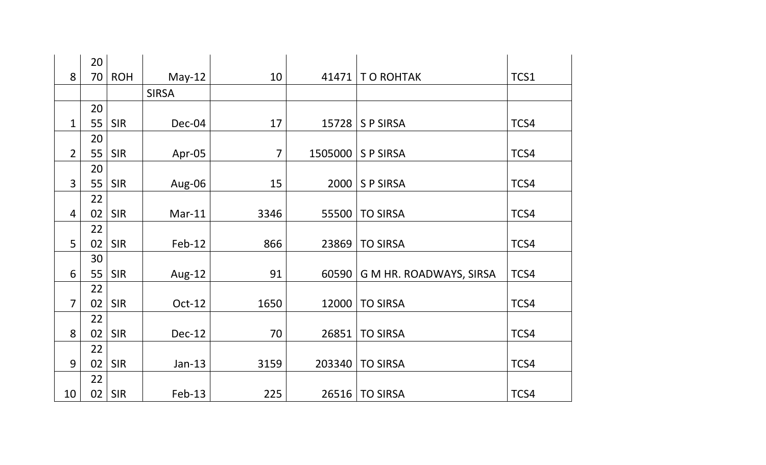|                | 20       |            |              |      |         |                         |      |
|----------------|----------|------------|--------------|------|---------|-------------------------|------|
| 8              | 70       | <b>ROH</b> | $May-12$     | 10   | 41471   | T O ROHTAK              | TCS1 |
|                |          |            | <b>SIRSA</b> |      |         |                         |      |
|                | 20       |            |              |      |         |                         |      |
| $\mathbf 1$    | 55       | <b>SIR</b> | Dec-04       | 17   | 15728   | <b>SP SIRSA</b>         | TCS4 |
|                | 20       |            |              |      |         |                         |      |
| $\overline{2}$ | 55       | <b>SIR</b> | Apr-05       | 7    | 1505000 | <b>SP SIRSA</b>         | TCS4 |
|                | 20       |            |              |      |         |                         |      |
| $\overline{3}$ | 55       | <b>SIR</b> | Aug-06       | 15   | 2000    | <b>SP SIRSA</b>         | TCS4 |
|                | 22       |            |              |      |         |                         |      |
| $\overline{4}$ | 02       | <b>SIR</b> | $Mar-11$     | 3346 | 55500   | <b>TO SIRSA</b>         | TCS4 |
|                | 22       |            |              |      |         |                         |      |
| 5              | 02       | <b>SIR</b> | $Feb-12$     | 866  | 23869   | <b>TO SIRSA</b>         | TCS4 |
|                | 30       |            |              |      |         |                         |      |
| 6              | 55       | <b>SIR</b> | Aug-12       | 91   | 60590   | G M HR. ROADWAYS, SIRSA | TCS4 |
|                | 22       |            |              |      |         |                         |      |
| $\overline{7}$ | 02       | <b>SIR</b> | Oct-12       | 1650 | 12000   | <b>TO SIRSA</b>         | TCS4 |
| 8              | 22       | <b>SIR</b> | Dec-12       | 70   | 26851   | <b>TO SIRSA</b>         | TCS4 |
|                | 02<br>22 |            |              |      |         |                         |      |
| 9              | 02       | <b>SIR</b> | $Jan-13$     | 3159 | 203340  | <b>TO SIRSA</b>         | TCS4 |
|                | 22       |            |              |      |         |                         |      |
| 10             | 02       | <b>SIR</b> | $Feb-13$     | 225  | 26516   | <b>TO SIRSA</b>         | TCS4 |
|                |          |            |              |      |         |                         |      |